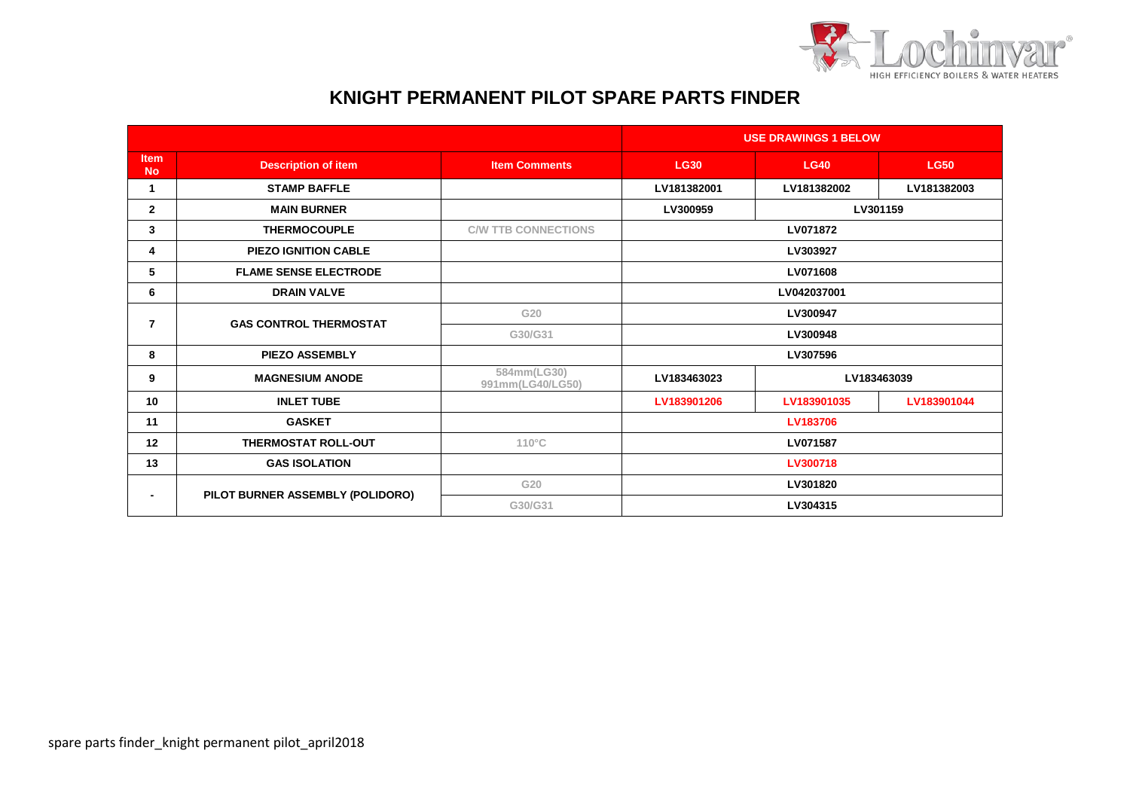

## **KNIGHT PERMANENT PILOT SPARE PARTS FINDER**

|                          |                                  |                                 | <b>USE DRAWINGS 1 BELOW</b> |             |             |
|--------------------------|----------------------------------|---------------------------------|-----------------------------|-------------|-------------|
| <b>Item</b><br><b>No</b> | <b>Description of item</b>       | <b>Item Comments</b>            | <b>LG30</b>                 | <b>LG40</b> | <b>LG50</b> |
| 1                        | <b>STAMP BAFFLE</b>              |                                 | LV181382001                 | LV181382002 | LV181382003 |
| $\mathbf{2}$             | <b>MAIN BURNER</b>               |                                 | LV300959                    | LV301159    |             |
| 3                        | <b>THERMOCOUPLE</b>              | <b>C/W TTB CONNECTIONS</b>      | LV071872                    |             |             |
| 4                        | <b>PIEZO IGNITION CABLE</b>      |                                 | LV303927                    |             |             |
| 5                        | <b>FLAME SENSE ELECTRODE</b>     |                                 | LV071608                    |             |             |
| 6                        | <b>DRAIN VALVE</b>               |                                 | LV042037001                 |             |             |
| 7                        | <b>GAS CONTROL THERMOSTAT</b>    | G20                             | LV300947                    |             |             |
|                          |                                  | G30/G31                         | LV300948                    |             |             |
| 8                        | <b>PIEZO ASSEMBLY</b>            |                                 | LV307596                    |             |             |
| 9                        | <b>MAGNESIUM ANODE</b>           | 584mm(LG30)<br>991mm(LG40/LG50) | LV183463023                 | LV183463039 |             |
| 10 <sup>1</sup>          | <b>INLET TUBE</b>                |                                 | LV183901206                 | LV183901035 | LV183901044 |
| 11                       | <b>GASKET</b>                    |                                 | LV183706                    |             |             |
| 12                       | <b>THERMOSTAT ROLL-OUT</b>       | $110^{\circ}$ C                 | LV071587                    |             |             |
| 13                       | <b>GAS ISOLATION</b>             |                                 | LV300718                    |             |             |
|                          | PILOT BURNER ASSEMBLY (POLIDORO) | G20                             | LV301820                    |             |             |
|                          |                                  | G30/G31                         | LV304315                    |             |             |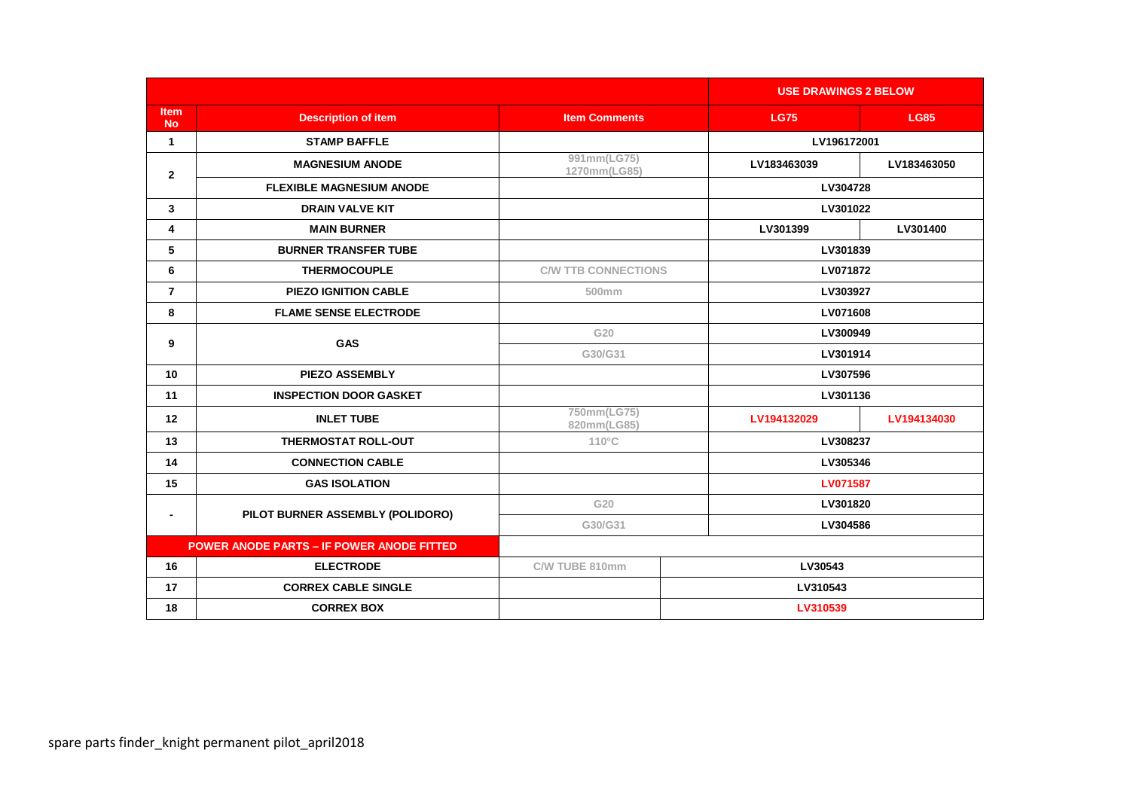|                                                  |                                  |                             |             | <b>USE DRAWINGS 2 BELOW</b> |  |
|--------------------------------------------------|----------------------------------|-----------------------------|-------------|-----------------------------|--|
| Item<br><b>No</b>                                | <b>Description of item</b>       | <b>Item Comments</b>        | <b>LG75</b> | <b>LG85</b>                 |  |
| $\mathbf{1}$                                     | <b>STAMP BAFFLE</b>              |                             |             | LV196172001                 |  |
| $\mathbf{2}$                                     | <b>MAGNESIUM ANODE</b>           | 991mm(LG75)<br>1270mm(LG85) | LV183463039 | LV183463050                 |  |
|                                                  | <b>FLEXIBLE MAGNESIUM ANODE</b>  |                             |             | LV304728                    |  |
| 3                                                | <b>DRAIN VALVE KIT</b>           |                             |             | LV301022                    |  |
| 4                                                | <b>MAIN BURNER</b>               |                             | LV301399    | LV301400                    |  |
| 5                                                | <b>BURNER TRANSFER TUBE</b>      |                             |             | LV301839                    |  |
| 6                                                | <b>THERMOCOUPLE</b>              | <b>C/W TTB CONNECTIONS</b>  |             | LV071872                    |  |
| $\overline{7}$                                   | <b>PIEZO IGNITION CABLE</b>      | 500mm                       |             | LV303927                    |  |
| 8                                                | <b>FLAME SENSE ELECTRODE</b>     |                             |             | LV071608                    |  |
| 9                                                | <b>GAS</b>                       | G20                         |             | LV300949                    |  |
|                                                  |                                  | G30/G31                     |             | LV301914                    |  |
| 10                                               | <b>PIEZO ASSEMBLY</b>            |                             | LV307596    |                             |  |
| 11                                               | <b>INSPECTION DOOR GASKET</b>    |                             |             | LV301136                    |  |
| 12                                               | <b>INLET TUBE</b>                | 750mm(LG75)<br>820mm(LG85)  | LV194132029 | LV194134030                 |  |
| 13                                               | <b>THERMOSTAT ROLL-OUT</b>       | $110^{\circ}$ C             | LV308237    |                             |  |
| 14                                               | <b>CONNECTION CABLE</b>          | LV305346                    |             |                             |  |
| 15                                               | <b>GAS ISOLATION</b>             |                             |             | <b>LV071587</b>             |  |
| $\blacksquare$                                   | PILOT BURNER ASSEMBLY (POLIDORO) | G20                         |             | LV301820                    |  |
|                                                  |                                  | G30/G31                     |             | LV304586                    |  |
| <b>POWER ANODE PARTS - IF POWER ANODE FITTED</b> |                                  |                             |             |                             |  |
| 16                                               | <b>ELECTRODE</b>                 | C/W TUBE 810mm              | LV30543     |                             |  |
| 17                                               | <b>CORREX CABLE SINGLE</b>       |                             | LV310543    |                             |  |
| 18                                               | <b>CORREX BOX</b>                |                             | LV310539    |                             |  |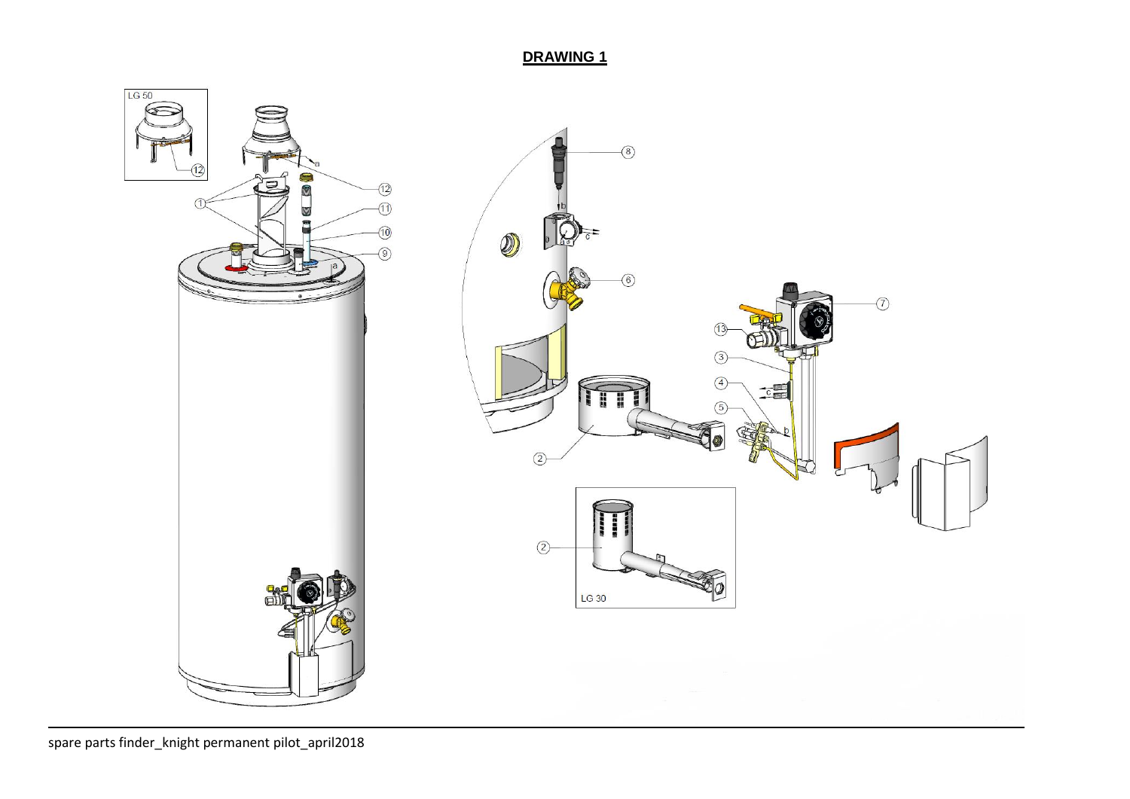**DRAWING 1**